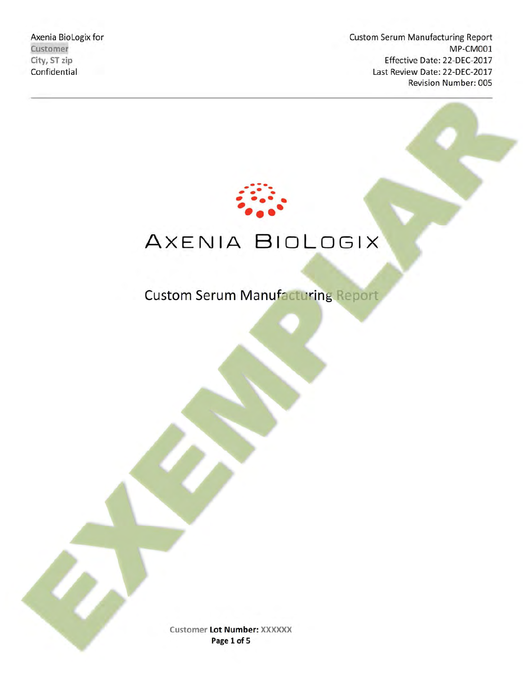Axenia BioLogix for **Axenia BioLogix** for **Custom Serum Manufacturing Report Customer** MP‐CM001 City, ST zip **Effective Date: 22-DEC-2017** Confidential Last Review Date: 22‐DEC‐2017 Revision Number: 005



# AXENIA BIOLOGIX

Custom Serum Manufacturing Report

**Customer Lot Number: XXXXXX Page 1 of 5**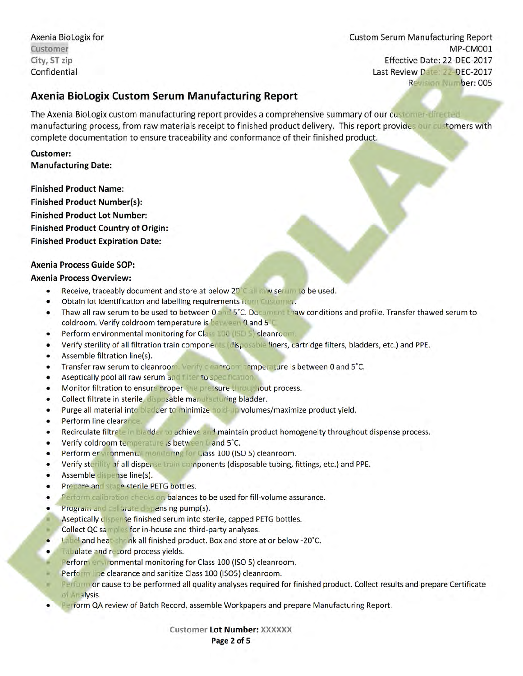Axenia BioLogix for Custom Serum Manufacturing Report **Customer** MP‐CM001 City, ST zip **City, ST zip Effective Date: 22-DEC-2017** Confidential Last Review Date: 22‐DEC‐2017 Revision Number: 005

## **Axenia BioLogix Custom Serum Manufacturing Report**

The Axenia BioLogix custom manufacturing report provides a comprehensive summary of our customer‐directed manufacturing process, from raw materials receipt to finished product delivery. This report provides our customers with complete documentation to ensure traceability and conformance of their finished product.

**Customer: Manufacturing Date:** 

**Finished Product Name: Finished Product Number(s): Finished Product Lot Number: Finished Product Country of Origin: Finished Product Expiration Date:** 

#### **Axenia Process Guide SOP:**

#### **Axenia Process Overview:**

- Receive, traceably document and store at below 20°C all raw serum to be used.
- **.** Obtain lot identification and labelling requirements from Customer.
- Thaw all raw serum to be used to between 0 and 5°C. Document thaw conditions and profile. Transfer thawed serum to coldroom. Verify coldroom temperature is between 0 and 5˚C.
- Perform environmental monitoring for Class 100 (ISO 5) cleanroom.
- Verify sterility of all filtration train components (disposable liners, cartridge filters, bladders, etc.) and PPE.
- Assemble filtration line(s).
- **.** Transfer raw serum to cleanroom. Verify cleanroom temperature is between 0 and 5°C.
- Aseptically pool all raw serum and filter to specification.
- Monitor filtration to ensure proper line pressure throughout process.
- Collect filtrate in sterile, disposable manufacturing bladder.
- Purge all material into bladder to minimize hold-up volumes/maximize product yield.
- **•** Perform line clearance.
- Recirculate filtrate in bladder to achieve and maintain product homogeneity throughout dispense process.
- Verify coldroom temperature is between 0 and 5˚C.
- Perform environmental monitoring for Class 100 (ISO 5) cleanroom.
- Verify sterility of all dispense train components (disposable tubing, fittings, etc.) and PPE.
- Assemble dispense line(s).
- Prepare and stage sterile PETG bottles.
- Perform calibration checks on balances to be used for fill-volume assurance.
- Program and calibrate dispensing pump(s).
- Aseptically dispense finished serum into sterile, capped PETG bottles.
- Collect QC samples for in‐house and third‐party analyses.
- Label and heat shrink all finished product. Box and store at or below -20°C.
- Tabulate and record process yields.
- Perform environmental monitoring for Class 100 (ISO 5) cleanroom.
- Perform line clearance and sanitize Class 100 (ISO5) cleanroom.
- Perform or cause to be performed all quality analyses required for finished product. Collect results and prepare Certificate of Analysis.
- **Perform QA review of Batch Record, assemble Workpapers and prepare Manufacturing Report.**

**Customer Lot Number: XXXXXX Page 2 of 5**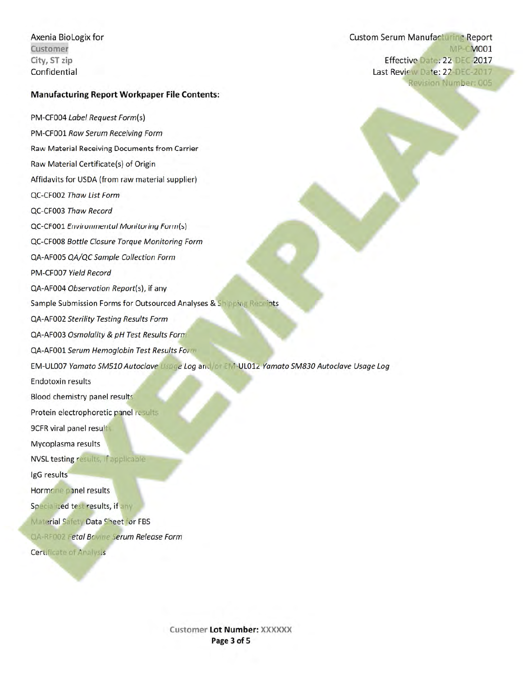Axenia BioLogix for Custom Serum Manufacturing Report **Customer** MP-CM001 City, ST zip **Effective Date: 22-DEC-2017** Confidential Last Review Date: 22‐DEC‐2017 Revision Number: 005

#### **Manufacturing Report Workpaper File Contents:**

PM‐CF004 *Label Request Form*(s) PM‐CF001 *Raw Serum Receiving Form* Raw Material Receiving Documents from Carrier Raw Material Certificate(s) of Origin Affidavits for USDA (from raw material supplier) QC‐CF002 *Thaw List Form* QC‐CF003 *Thaw Record* QC‐CF001 *Environmental Monitoring Form*(s) QC‐CF008 *Bottle Closure Torque Monitoring Form* QA‐AF005 *QA/QC Sample Collection Form* PM‐CF007 *Yield Record* QA‐AF004 *Observation Report*(s), if any Sample Submission Forms for Outsourced Analyses & Shipping Receipts QA‐AF002 *Sterility Testing Results Form*  QA‐AF003 *Osmolality & pH Test Results Form*

QA‐AF001 *Serum Hemoglobin Test Results Form*

EM‐UL007 *Yamato SM510 Autoclave Usage Log* and/or EM‐UL012 *Yamato SM830 Autoclave Usage Log* 

Endotoxin results

Blood chemistry panel results

Protein electrophoretic panel results

9CFR viral panel results

Mycoplasma results

NVSL testing results, if applicable

IgG results

Hormone panel results

Specialized test results, if any

Material Safety Data Sheet for FBS

QA‐RF002 *Fetal Bovine Serum Release Form*

Certificate of Analysis

**Customer Lot Number: XXXXXX Page 3 of 5**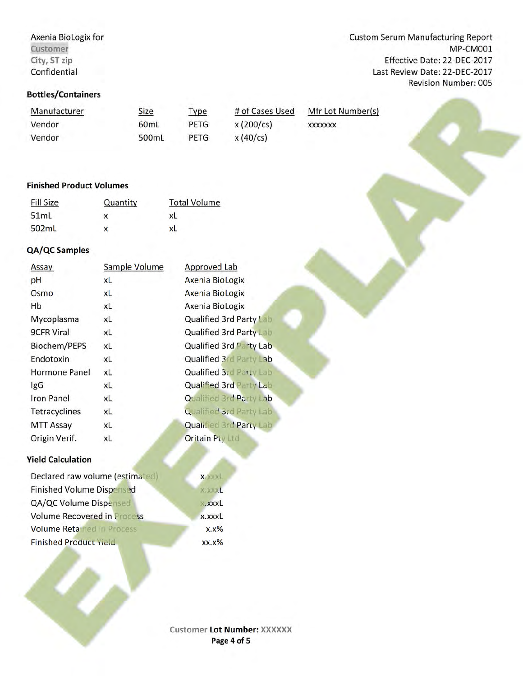# **Bottles/Containers**

Manufacturer Size Type # of Cases Used Mfr Lot Number(s) Vendor 60mL PETG x (200/cs) xxxxxxx Vendor 500mL PETG x (40/cs)

# **Finished Product Volumes**

| <b>Fill Size</b> | Quantity | <b>Total Volume</b> |
|------------------|----------|---------------------|
| 51ml             | x        | xL                  |
| 502mL            | x        | xL                  |

# **QA/QC Samples**

| Assay             | Sample Volume | Approved Lab                   |
|-------------------|---------------|--------------------------------|
| pH                | xL            | Axenia BioLogix                |
| Osmo              | xL            | Axenia BioLogix                |
| Hb                | xL            | Axenia BioLogix                |
| Mycoplasma        | xL            | Qualified 3rd Party Lab        |
| <b>9CFR Viral</b> | xL            | Qualified 3rd Party Lab        |
| Biochem/PEPS      | xL            | Qualified 3rd Party Lab        |
| Endotoxin         | xL            | Qualified 3rd Party Lab        |
| Hormone Panel     | xL            | Qualified 3rd Party Lab        |
| <b>IgG</b>        | xL            | <b>Qualified 3rd Party Lab</b> |
| <b>Iron Panel</b> | xL            | <b>Qualified 3rd Party Lab</b> |
| Tetracyclines     | xL            | <b>Qualified 3rd Party Lab</b> |
| <b>MTT Assay</b>  | xL            | Qualified 3rd Party Lab        |
| Origin Verif.     | xL            | <b>Oritain Pty Ltd</b>         |
|                   |               |                                |

#### **Yield Calculation**

| Declared raw volume (estimated)    | <b>XXXXL</b> |
|------------------------------------|--------------|
| <b>Finished Volume Dispensed</b>   | X.XXXL       |
| QA/QC Volume Dispensed             | xxxL         |
| <b>Volume Recovered in Process</b> | x.xxxL       |
| <b>Volume Retained in Process</b>  | $X.X\%$      |
| <b>Finished Product Yield</b>      | $XX.X\%$     |

Axenia BioLogix for **Axenia BioLogix** for **Custom Serum Manufacturing Report Customer** MP‐CM001 City, ST zip **Effective Date: 22-DEC-2017** Confidential Last Review Date: 22‐DEC‐2017 Revision Number: 005